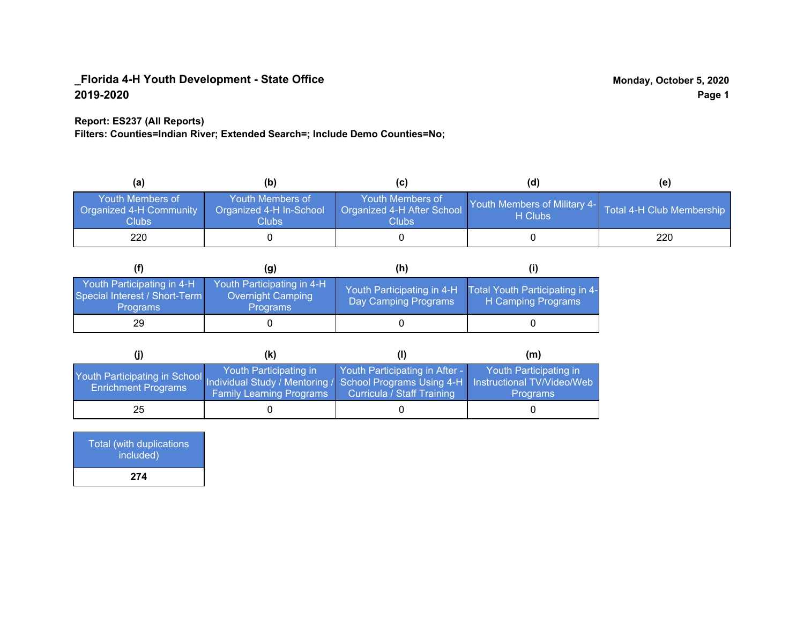### **Report: ES237 (All Reports)**

**Filters: Counties=Indian River; Extended Search=; Include Demo Counties=No;**

| (a)                                                                | (b)                                                  | (C)                                                       | (d)                                                               | (e) |
|--------------------------------------------------------------------|------------------------------------------------------|-----------------------------------------------------------|-------------------------------------------------------------------|-----|
| <b>Youth Members of</b><br><b>Organized 4-H Community</b><br>Clubs | Youth Members of<br>Organized 4-H In-School<br>Clubs | Youth Members of<br>Organized 4-H After School<br>Clubs : | Youth Members of Military 4- Total 4-H Club Membership<br>H Clubs |     |
| 220                                                                |                                                      |                                                           |                                                                   | 220 |

|                                                                                | (g)                                                                | (h)                                                |                                                       |
|--------------------------------------------------------------------------------|--------------------------------------------------------------------|----------------------------------------------------|-------------------------------------------------------|
| Youth Participating in 4-H<br>Special Interest / Short-Term<br><b>Programs</b> | Youth Participating in 4-H<br>Overnight Camping<br><b>Programs</b> | Youth Participating in 4-H<br>Day Camping Programs | Total Youth Participating in 4-<br>H Camping Programs |
| 29                                                                             |                                                                    |                                                    |                                                       |

|                                                                                                                                                   | (K)                                                       |                                                                     | (m)                                       |
|---------------------------------------------------------------------------------------------------------------------------------------------------|-----------------------------------------------------------|---------------------------------------------------------------------|-------------------------------------------|
| Youth Participating in School Individual Study / Mentoring / School Programs Using 4-H   Instructional TV/Video/Web<br><b>Enrichment Programs</b> | Youth Participating in<br><b>Family Learning Programs</b> | Youth Participating in After -<br><b>Curricula / Staff Training</b> | Youth Participating in<br><b>Programs</b> |
| 25                                                                                                                                                |                                                           |                                                                     |                                           |

| Total (with duplications<br>included) |  |
|---------------------------------------|--|
| 274                                   |  |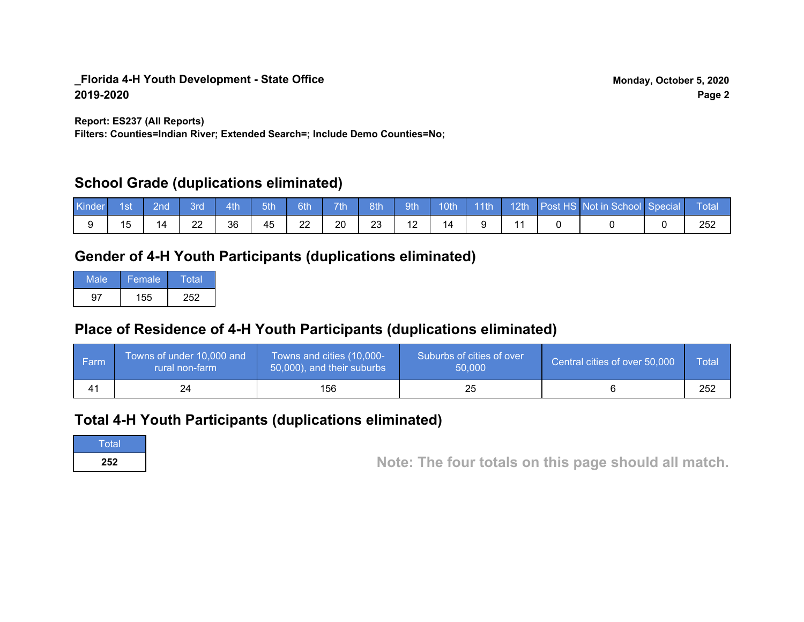**Report: ES237 (All Reports)**

**Filters: Counties=Indian River; Extended Search=; Include Demo Counties=No;**

## **School Grade (duplications eliminated)**

| <b>Kinder</b> | 1st | <b>Znd</b> | 3rd | 4th | 5th | 6th | 7th | 8th | 9th | 10th |  | 14th 12th Post HS Not in School Special | ⊾ Total     |
|---------------|-----|------------|-----|-----|-----|-----|-----|-----|-----|------|--|-----------------------------------------|-------------|
|               |     | ە،         | 22  | 36  | 45  | 22  | 20  | 23  |     | 14   |  |                                         | מ המ<br>∠∪∠ |

## **Gender of 4-H Youth Participants (duplications eliminated)**

| Male | Female | Total |
|------|--------|-------|
| J≇   | 155    | 252   |

# **Place of Residence of 4-H Youth Participants (duplications eliminated)**

| ∣ Farm | Towns of under 10,000 and<br>rural non-farm | Towns and cities (10,000-<br>50,000), and their suburbs | Suburbs of cities of over<br>50,000 | Central cities of over 50,000 | Total |
|--------|---------------------------------------------|---------------------------------------------------------|-------------------------------------|-------------------------------|-------|
|        |                                             | 156                                                     |                                     |                               | 252   |

## **Total 4-H Youth Participants (duplications eliminated)**

**Total** 

**<sup>252</sup> Note: The four totals on this page should all match.**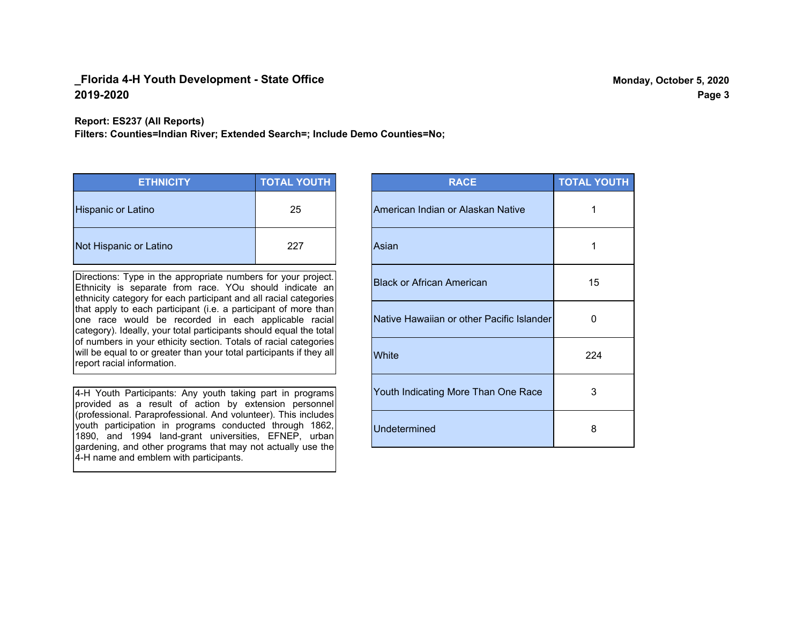**Report: ES237 (All Reports)**

**Filters: Counties=Indian River; Extended Search=; Include Demo Counties=No;**

| <b>ETHNICITY</b>          | <b>TOTAL YOUTH</b> |
|---------------------------|--------------------|
| <b>Hispanic or Latino</b> | 25                 |
| Not Hispanic or Latino    | 227                |

Directions: Type in the appropriate numbers for your project. Ethnicity is separate from race. YOu should indicate an ethnicity category for each participant and all racial categories that apply to each participant (i.e. a participant of more than one race would be recorded in each applicable racial category). Ideally, your total participants should equal the total of numbers in your ethicity section. Totals of racial categories will be equal to or greater than your total participants if they all report racial information.

4-H Youth Participants: Any youth taking part in programs provided as a result of action by extension personnel (professional. Paraprofessional. And volunteer). This includes youth participation in programs conducted through 1862, 1890, and 1994 land-grant universities, EFNEP, urban gardening, and other programs that may not actually use the 4-H name and emblem with participants.

| <b>RACE</b>                               | <b>TOTAL YOUTH</b> |
|-------------------------------------------|--------------------|
| American Indian or Alaskan Native         | 1                  |
| Asian                                     | 1                  |
| <b>Black or African American</b>          | 15                 |
| Native Hawaiian or other Pacific Islander | O                  |
| White                                     | 224                |
| Youth Indicating More Than One Race       | 3                  |
| <b>Undetermined</b>                       | 8                  |

**Page 3**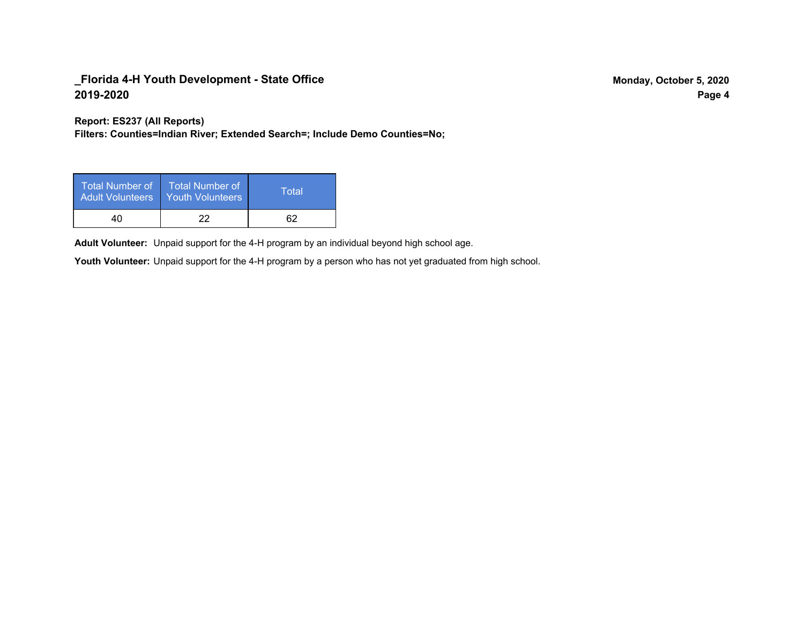**Report: ES237 (All Reports)**

**Filters: Counties=Indian River; Extended Search=; Include Demo Counties=No;**

| Total Number of<br><b>Adult Volunteers</b> | <b>Total Number of</b><br><b>Youth Volunteers</b> | Total |
|--------------------------------------------|---------------------------------------------------|-------|
| 40                                         | つつ                                                | 62    |

Adult Volunteer: Unpaid support for the 4-H program by an individual beyond high school age.

Youth Volunteer: Unpaid support for the 4-H program by a person who has not yet graduated from high school.

**Page 4**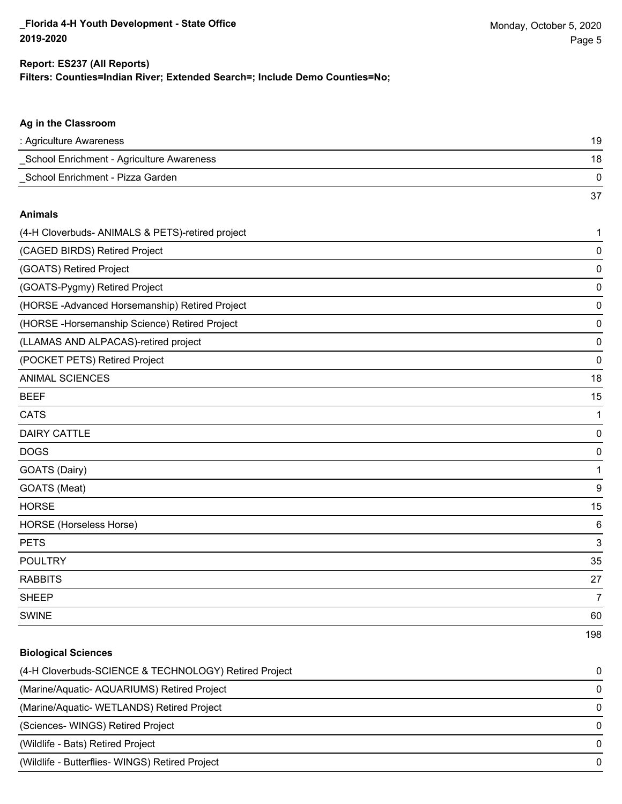**Biological Sciences**

#### **Filters: Counties=Indian River; Extended Search=; Include Demo Counties=No; Report: ES237 (All Reports)**

| Ag in the Classroom                              |                 |
|--------------------------------------------------|-----------------|
| : Agriculture Awareness                          | 19              |
| School Enrichment - Agriculture Awareness        | 18              |
| School Enrichment - Pizza Garden                 | $\mathbf 0$     |
|                                                  | 37              |
| <b>Animals</b>                                   |                 |
| (4-H Cloverbuds- ANIMALS & PETS)-retired project | 1               |
| (CAGED BIRDS) Retired Project                    | $\mathbf 0$     |
| (GOATS) Retired Project                          | $\mathbf 0$     |
| (GOATS-Pygmy) Retired Project                    | $\mathbf 0$     |
| (HORSE-Advanced Horsemanship) Retired Project    | $\mathbf 0$     |
| (HORSE - Horsemanship Science) Retired Project   | $\mathbf 0$     |
| (LLAMAS AND ALPACAS)-retired project             | $\mathbf 0$     |
| (POCKET PETS) Retired Project                    | $\mathbf 0$     |
| <b>ANIMAL SCIENCES</b>                           | 18              |
| <b>BEEF</b>                                      | 15              |
| <b>CATS</b>                                      | $\mathbf 1$     |
| <b>DAIRY CATTLE</b>                              | $\mathbf 0$     |
| <b>DOGS</b>                                      | $\mathbf 0$     |
| GOATS (Dairy)                                    | $\mathbf 1$     |
| GOATS (Meat)                                     | 9               |
| <b>HORSE</b>                                     | 15              |
| HORSE (Horseless Horse)                          | $6\phantom{1}6$ |
| <b>PETS</b>                                      | 3               |
| <b>POULTRY</b>                                   | 35              |
| <b>RABBITS</b>                                   | 27              |
| <b>SHEEP</b>                                     | $\overline{7}$  |
| SWINE                                            | 60              |
|                                                  | 198             |

| (4-H Cloverbuds-SCIENCE & TECHNOLOGY) Retired Project | 0        |
|-------------------------------------------------------|----------|
| (Marine/Aquatic-AQUARIUMS) Retired Project            | $\Omega$ |
| (Marine/Aquatic- WETLANDS) Retired Project            | $\Omega$ |
| (Sciences-WINGS) Retired Project                      | $\Omega$ |
| (Wildlife - Bats) Retired Project                     | $\Omega$ |
| (Wildlife - Butterflies- WINGS) Retired Project       | $\Omega$ |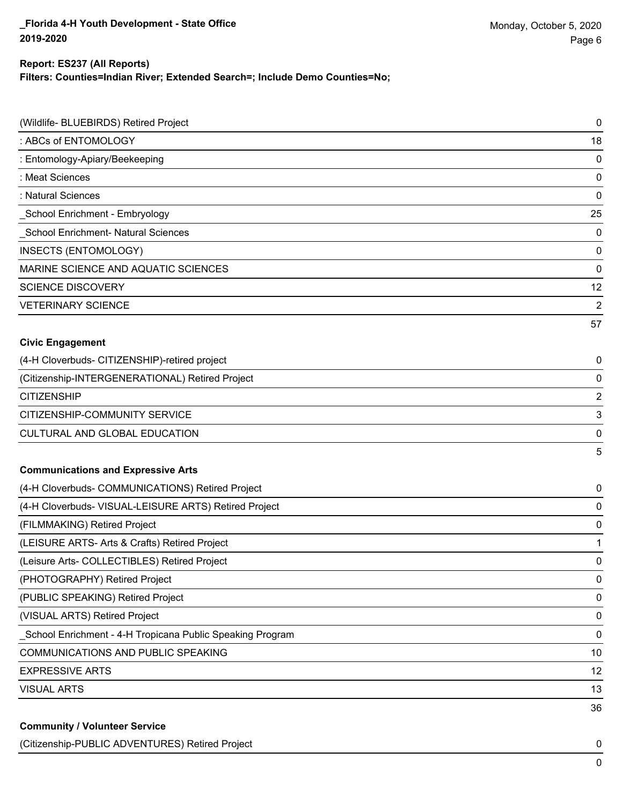# **Report: ES237 (All Reports)**

**Filters: Counties=Indian River; Extended Search=; Include Demo Counties=No;**

| (Wildlife- BLUEBIRDS) Retired Project                     | 0                       |
|-----------------------------------------------------------|-------------------------|
| : ABCs of ENTOMOLOGY                                      | 18                      |
| : Entomology-Apiary/Beekeeping                            | 0                       |
| : Meat Sciences                                           | 0                       |
| : Natural Sciences                                        | 0                       |
| School Enrichment - Embryology                            | 25                      |
| School Enrichment- Natural Sciences                       | 0                       |
| <b>INSECTS (ENTOMOLOGY)</b>                               | 0                       |
| MARINE SCIENCE AND AQUATIC SCIENCES                       | 0                       |
| <b>SCIENCE DISCOVERY</b>                                  | 12                      |
| <b>VETERINARY SCIENCE</b>                                 | $\overline{2}$          |
|                                                           | 57                      |
| <b>Civic Engagement</b>                                   |                         |
| (4-H Cloverbuds- CITIZENSHIP)-retired project             | 0                       |
| (Citizenship-INTERGENERATIONAL) Retired Project           | 0                       |
| <b>CITIZENSHIP</b>                                        | $\overline{\mathbf{c}}$ |
| CITIZENSHIP-COMMUNITY SERVICE                             | 3                       |
| CULTURAL AND GLOBAL EDUCATION                             | 0                       |
|                                                           | 5                       |
| <b>Communications and Expressive Arts</b>                 |                         |
| (4-H Cloverbuds- COMMUNICATIONS) Retired Project          | 0                       |
| (4-H Cloverbuds- VISUAL-LEISURE ARTS) Retired Project     | 0                       |
| (FILMMAKING) Retired Project                              | 0                       |
| (LEISURE ARTS- Arts & Crafts) Retired Project             | 1                       |
| (Leisure Arts- COLLECTIBLES) Retired Project              | 0                       |
| (PHOTOGRAPHY) Retired Project                             | 0                       |
| (PUBLIC SPEAKING) Retired Project                         | 0                       |
| (VISUAL ARTS) Retired Project                             | 0                       |
| School Enrichment - 4-H Tropicana Public Speaking Program | 0                       |
| COMMUNICATIONS AND PUBLIC SPEAKING                        | 10                      |
| <b>EXPRESSIVE ARTS</b>                                    | 12                      |
| <b>VISUAL ARTS</b>                                        | 13                      |
|                                                           | 36                      |
| <b>Community / Volunteer Service</b>                      |                         |

(Citizenship-PUBLIC ADVENTURES) Retired Project 0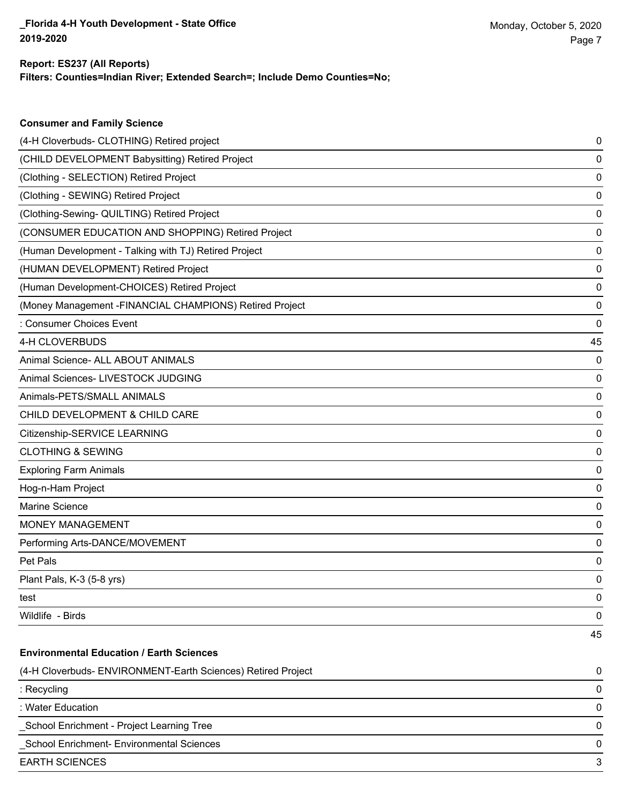**Consumer and Family Science**

#### **Filters: Counties=Indian River; Extended Search=; Include Demo Counties=No; Report: ES237 (All Reports)**

| (4-H Cloverbuds- CLOTHING) Retired project                   | 0  |
|--------------------------------------------------------------|----|
| (CHILD DEVELOPMENT Babysitting) Retired Project              | 0  |
| (Clothing - SELECTION) Retired Project                       | 0  |
| (Clothing - SEWING) Retired Project                          | 0  |
| (Clothing-Sewing- QUILTING) Retired Project                  | 0  |
| (CONSUMER EDUCATION AND SHOPPING) Retired Project            | 0  |
| (Human Development - Talking with TJ) Retired Project        | 0  |
| (HUMAN DEVELOPMENT) Retired Project                          | 0  |
| (Human Development-CHOICES) Retired Project                  | 0  |
| (Money Management -FINANCIAL CHAMPIONS) Retired Project      | 0  |
| : Consumer Choices Event                                     | 0  |
| 4-H CLOVERBUDS                                               | 45 |
| Animal Science- ALL ABOUT ANIMALS                            | 0  |
| Animal Sciences- LIVESTOCK JUDGING                           | 0  |
| Animals-PETS/SMALL ANIMALS                                   | 0  |
| CHILD DEVELOPMENT & CHILD CARE                               | 0  |
| Citizenship-SERVICE LEARNING                                 | 0  |
| <b>CLOTHING &amp; SEWING</b>                                 | 0  |
| <b>Exploring Farm Animals</b>                                | 0  |
| Hog-n-Ham Project                                            | 0  |
| Marine Science                                               | 0  |
| <b>MONEY MANAGEMENT</b>                                      | 0  |
| Performing Arts-DANCE/MOVEMENT                               | 0  |
| Pet Pals                                                     | 0  |
| Plant Pals, K-3 (5-8 yrs)                                    | 0  |
| test                                                         | 0  |
| Wildlife - Birds                                             | 0  |
|                                                              | 45 |
| <b>Environmental Education / Earth Sciences</b>              |    |
| (4-H Cloverbuds- ENVIRONMENT-Earth Sciences) Retired Project | 0  |
| : Recycling                                                  | 0  |
| : Water Education                                            | 0  |
| School Enrichment - Project Learning Tree                    | 0  |
| School Enrichment- Environmental Sciences                    | 0  |
| <b>EARTH SCIENCES</b>                                        | 3  |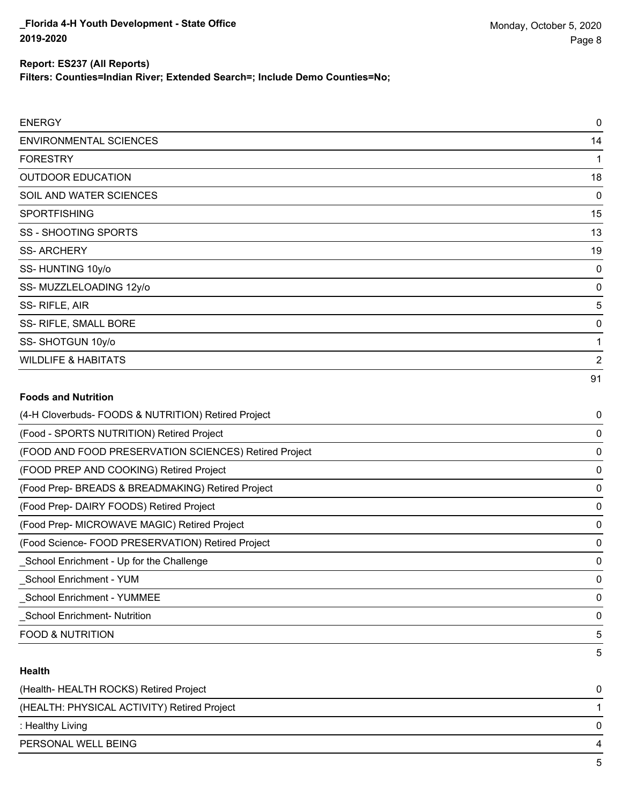**Filters: Counties=Indian River; Extended Search=; Include Demo Counties=No;**

| <b>ENERGY</b>            |    |
|--------------------------|----|
| ENVIRONMENTAL SCIENCES   | 14 |
| <b>FORESTRY</b>          |    |
| <b>OUTDOOR EDUCATION</b> | 18 |
| SOIL AND WATER SCIENCES  |    |
| <b>SPORTFISHING</b>      | 15 |
| SS - SHOOTING SPORTS     | 13 |
|                          |    |

SS- ARCHERY 19

| SS-HUNTING 10y/o |  |
|------------------|--|
|                  |  |

SS-MUZZLELOADING 12y/o 0

SS- RIFLE, AIR 5

SS- RIFLE, SMALL BORE 0

SS- SHOTGUN 10y/o 1

WILDLIFE & HABITATS 2

#### **Foods and Nutrition**

| (4-H Cloverbuds- FOODS & NUTRITION) Retired Project   | $\mathbf 0$ |
|-------------------------------------------------------|-------------|
| (Food - SPORTS NUTRITION) Retired Project             | 0           |
| (FOOD AND FOOD PRESERVATION SCIENCES) Retired Project | 0           |
| (FOOD PREP AND COOKING) Retired Project               | 0           |
| (Food Prep- BREADS & BREADMAKING) Retired Project     | 0           |
| (Food Prep-DAIRY FOODS) Retired Project               | 0           |
| (Food Prep- MICROWAVE MAGIC) Retired Project          | 0           |
| (Food Science-FOOD PRESERVATION) Retired Project      | 0           |
| _School Enrichment - Up for the Challenge             | 0           |
| School Enrichment - YUM                               | 0           |
| School Enrichment - YUMMEE                            | 0           |
| <b>School Enrichment- Nutrition</b>                   | 0           |
| <b>FOOD &amp; NUTRITION</b>                           | 5           |
|                                                       | 5           |

#### **Health**

| (Health-HEALTH ROCKS) Retired Project       | $\Omega$ |
|---------------------------------------------|----------|
| (HEALTH: PHYSICAL ACTIVITY) Retired Project |          |
| : Healthy Living                            | 0        |
| PERSONAL WELL BEING                         |          |
|                                             | -5       |

91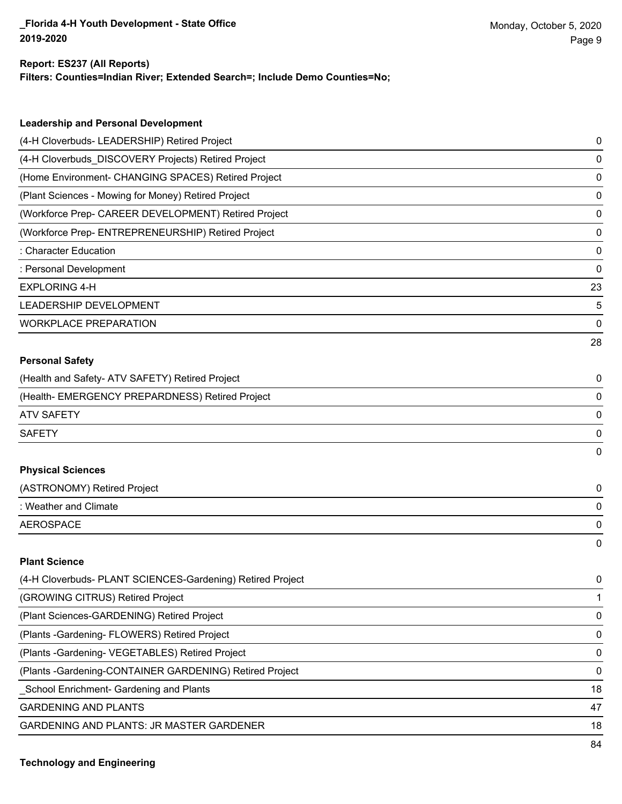#### **Report: ES237 (All Reports)**

**Filters: Counties=Indian River; Extended Search=; Include Demo Counties=No;**

| <b>Leadership and Personal Development</b>                 |    |
|------------------------------------------------------------|----|
| (4-H Cloverbuds- LEADERSHIP) Retired Project               | 0  |
| (4-H Cloverbuds_DISCOVERY Projects) Retired Project        | 0  |
| (Home Environment- CHANGING SPACES) Retired Project        | 0  |
| (Plant Sciences - Mowing for Money) Retired Project        | 0  |
| (Workforce Prep- CAREER DEVELOPMENT) Retired Project       | 0  |
| (Workforce Prep- ENTREPRENEURSHIP) Retired Project         | 0  |
| : Character Education                                      | 0  |
| : Personal Development                                     | 0  |
| <b>EXPLORING 4-H</b>                                       | 23 |
| LEADERSHIP DEVELOPMENT                                     | 5  |
| <b>WORKPLACE PREPARATION</b>                               | 0  |
|                                                            | 28 |
| <b>Personal Safety</b>                                     |    |
| (Health and Safety- ATV SAFETY) Retired Project            | 0  |
| (Health- EMERGENCY PREPARDNESS) Retired Project            | 0  |
| <b>ATV SAFETY</b>                                          | 0  |
| <b>SAFETY</b>                                              | 0  |
|                                                            | 0  |
| <b>Physical Sciences</b>                                   |    |
| (ASTRONOMY) Retired Project                                | 0  |
| : Weather and Climate                                      | 0  |
| <b>AEROSPACE</b>                                           | 0  |
|                                                            | 0  |
| <b>Plant Science</b>                                       |    |
| (4-H Cloverbuds- PLANT SCIENCES-Gardening) Retired Project | 0  |
| (GROWING CITRUS) Retired Project                           | 1  |
| (Plant Sciences-GARDENING) Retired Project                 | 0  |
| (Plants - Gardening - FLOWERS) Retired Project             | 0  |
|                                                            |    |

(Plants -Gardening- VEGETABLES) Retired Project 0

(Plants -Gardening-CONTAINER GARDENING) Retired Project 0

Let the School Enrichment- Gardening and Plants 18

GARDENING AND PLANTS 47

GARDENING AND PLANTS: JR MASTER GARDENER 18 18